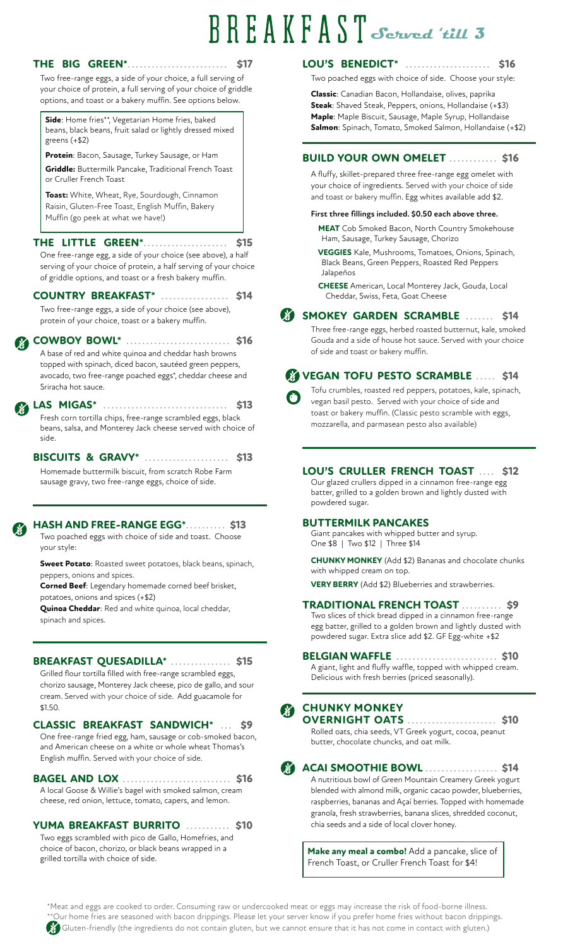# **Served 'till 3**

| your choice of protein, a full serving of your choice of griddle<br>options, and toast or a bakery muffin. See options below.<br>Side: Home fries**, Vegetarian Home fries, baked            | Classic: Canadian Bacon, Hollandaise, olives, paprika<br>Steak: Shaved Steak, Peppers, onions, Hollandaise (+\$3)<br>Maple: Maple Biscuit, Sausage, Maple Syrup, Hollandaise |
|----------------------------------------------------------------------------------------------------------------------------------------------------------------------------------------------|------------------------------------------------------------------------------------------------------------------------------------------------------------------------------|
| beans, black beans, fruit salad or lightly dressed mixed<br>greens $(+\$2)$                                                                                                                  | Salmon: Spinach, Tomato, Smoked Salmon, Hollandaise (+\$2)                                                                                                                   |
| Protein: Bacon, Sausage, Turkey Sausage, or Ham                                                                                                                                              | <b>BUILD YOUR OWN OMELET </b><br><b>S16</b>                                                                                                                                  |
| Griddle: Buttermilk Pancake, Traditional French Toast<br>or Cruller French Toast                                                                                                             | A fluffy, skillet-prepared three free-range egg omelet with<br>your choice of ingredients. Served with your choice of side                                                   |
| Toast: White, Wheat, Rye, Sourdough, Cinnamon                                                                                                                                                | and toast or bakery muffin. Egg whites available add \$2.                                                                                                                    |
| Raisin, Gluten-Free Toast, English Muffin, Bakery<br>Muffin (go peek at what we have!)                                                                                                       | First three fillings included. \$0.50 each above three.                                                                                                                      |
| THE LITTLE GREEN*.<br>\$15                                                                                                                                                                   | <b>MEAT</b> Cob Smoked Bacon, North Country Smokehouse<br>Ham, Sausage, Turkey Sausage, Chorizo                                                                              |
| One free-range egg, a side of your choice (see above), a half<br>serving of your choice of protein, a half serving of your choice<br>of griddle options, and toast or a fresh bakery muffin. | VEGGIES Kale, Mushrooms, Tomatoes, Onions, Spinach,<br>Black Beans, Green Peppers, Roasted Red Peppers<br>Jalapeños                                                          |
| COUNTRY BREAKFAST*<br>\$14                                                                                                                                                                   | <b>CHEESE</b> American, Local Monterey Jack, Gouda, Local<br>Cheddar, Swiss, Feta, Goat Cheese                                                                               |
| Two free-range eggs, a side of your choice (see above),<br>protein of your choice, toast or a bakery muffin.                                                                                 | SMOKEY GARDEN SCRAMBLE<br>\$14                                                                                                                                               |
| <b>COWBOY BOWL*</b>                                                                                                                                                                          | Three free-range eggs, herbed roasted butternut, kale, smoked<br>Gouda and a side of house hot sauce. Served with your choice                                                |
| A base of red and white quinoa and cheddar hash browns<br>topped with spinach, diced bacon, sautéed green peppers,                                                                           | of side and toast or bakery muffin.                                                                                                                                          |
| avocado, two free-range poached eggs*, cheddar cheese and                                                                                                                                    | <b>VEGAN TOFU PESTO SCRAMBLE </b><br>\$14                                                                                                                                    |
| Sriracha hot sauce.                                                                                                                                                                          | Tofu crumbles, roasted red peppers, potatoes, kale, spinach,                                                                                                                 |
| LAS MIGAS*<br>\$13<br>.                                                                                                                                                                      | vegan basil pesto. Served with your choice of side and                                                                                                                       |
| Fresh corn tortilla chips, free-range scrambled eggs, black<br>beans, salsa, and Monterey Jack cheese served with choice of<br>side.                                                         | toast or bakery muffin. (Classic pesto scramble with eggs,<br>mozzarella, and parmasean pesto also available)                                                                |
| <b>BISCUITS &amp; GRAVY*</b><br>\$13                                                                                                                                                         |                                                                                                                                                                              |
| Homemade buttermilk biscuit, from scratch Robe Farm<br>sausage gravy, two free-range eggs, choice of side.                                                                                   | LOU'S CRULLER FRENCH TOAST  \$12<br>Our glazed crullers dipped in a cinnamon free-range egg<br>batter, grilled to a golden brown and lightly dusted with<br>powdered sugar.  |
| <b>HASH AND FREE-RANGE EGG*</b><br>. \$13<br>Two poached eggs with choice of side and toast. Choose                                                                                          | <b>BUTTERMILK PANCAKES</b><br>Giant pancakes with whipped butter and syrup.<br>One \$8   Two \$12   Three \$14                                                               |

**Sweet Potato**: Roasted sweet potatoes, black beans, spinach, peppers, onions and spices.

**Corned Beef**: Legendary homemade corned beef brisket, potatoes, onions and spices (+\$2)

**Quinoa Cheddar**: Red and white quinoa, local cheddar, spinach and spices.

#### **BREAKFAST QUESADILLA\*** ............... **\$15**

Grilled flour tortilla filled with free-range scrambled eggs, chorizo sausage, Monterey Jack cheese, pico de gallo, and sour cream. Served with your choice of side. Add guacamole for \$1.50.

One free-range fried egg, ham, sausage or cob-smoked bacon, and American cheese on a white or whole wheat Thomas's English muffin. Served with your choice of side. **CLASSIC BREAKFAST SANDWICH\*** ... **\$9**

A local Goose & Willie's bagel with smoked salmon, cream cheese, red onion, lettuce, tomato, capers, and lemon. **BAGEL AND LOX** ........................... **\$16**

Two eggs scrambled with pico de Gallo, Homefries, and choice of bacon, chorizo, or black beans wrapped in a grilled tortilla with choice of side. **YUMA BREAKFAST BURRITO** ........... **\$10**

A giant, light and fluffy waffle, topped with whipped cream. Delicious with fresh berries (priced seasonally). **BELGIAN WAFFLE** ......................... **\$10**

**CHUNKY MONKEY** (Add \$2) Bananas and chocolate chunks

Two slices of thick bread dipped in a cinnamon free-range egg batter, grilled to a golden brown and lightly dusted with powdered sugar. Extra slice add \$2. GF Egg-white +\$2

**TRADITIONAL FRENCH TOAST** .......... **\$9**

**VERY BERRY** (Add \$2) Blueberries and strawberries.

## **CHUNKY MONKEY**

with whipped cream on top.

Rolled oats, chia seeds, VT Greek yogurt, cocoa, peanut butter, chocolate chuncks, and oat milk. **OVERNIGHT OATS** ...................... **\$10**



A nutritious bowl of Green Mountain Creamery Greek yogurt blended with almond milk, organic cacao powder, blueberries, raspberries, bananas and Açaí berries. Topped with homemade granola, fresh strawberries, banana slices, shredded coconut, chia seeds and a side of local clover honey. **ACAI SMOOTHIE BOWL** .................. **\$14**

> **Make any meal a combo!** Add a pancake, slice of French Toast, or Cruller French Toast for \$4!

\*Meat and eggs are cooked to order. Consuming raw or undercooked meat or eggs may increase the risk of food-borne illness. Our home fries are seasoned with bacon drippings. Please let your server know if you prefer home fries without bacon drippings. Gluten-friendly (the ingredients do not contain gluten, but we cannot ensure that it has not come in contact with gluten.)